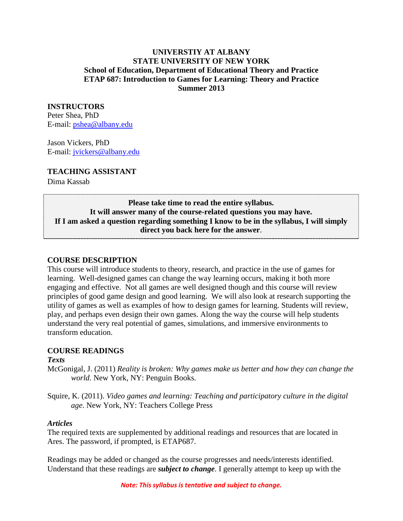#### **UNIVERSTIY AT ALBANY STATE UNIVERSITY OF NEW YORK School of Education, Department of Educational Theory and Practice ETAP 687: Introduction to Games for Learning: Theory and Practice Summer 2013**

#### **INSTRUCTORS**

Peter Shea, PhD E-mail: [pshea@albany.edu](mailto:pshea@albany.edu)

Jason Vickers, PhD E-mail: [jvickers@albany.edu](mailto:jvickers@albany.edu)

#### **TEACHING ASSISTANT**

Dima Kassab

# **Please take time to read the entire syllabus. It will answer many of the course-related questions you may have. If I am asked a question regarding something I know to be in the syllabus, I will simply direct you back here for the answer**.

#### **COURSE DESCRIPTION**

This course will introduce students to theory, research, and practice in the use of games for learning. Well-designed games can change the way learning occurs, making it both more engaging and effective. Not all games are well designed though and this course will review principles of good game design and good learning. We will also look at research supporting the utility of games as well as examples of how to design games for learning. Students will review, play, and perhaps even design their own games. Along the way the course will help students understand the very real potential of games, simulations, and immersive environments to transform education.

#### **COURSE READINGS**

#### *Texts*

McGonigal, J. (2011) *Reality is broken: Why games make us better and how they can change the world*. New York, NY: Penguin Books.

Squire, K. (2011). *Video games and learning: Teaching and participatory culture in the digital age*. New York, NY: Teachers College Press

#### *Articles*

The required texts are supplemented by additional readings and resources that are located in Ares. The password, if prompted, is ETAP687.

Readings may be added or changed as the course progresses and needs/interests identified. Understand that these readings are *subject to change*. I generally attempt to keep up with the

*Note: This syllabus is tentative and subject to change.*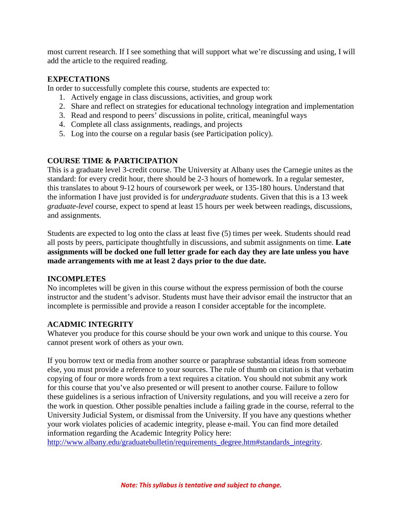most current research. If I see something that will support what we're discussing and using, I will add the article to the required reading.

#### **EXPECTATIONS**

In order to successfully complete this course, students are expected to:

- 1. Actively engage in class discussions, activities, and group work
- 2. Share and reflect on strategies for educational technology integration and implementation
- 3. Read and respond to peers' discussions in polite, critical, meaningful ways
- 4. Complete all class assignments, readings, and projects
- 5. Log into the course on a regular basis (see Participation policy).

## **COURSE TIME & PARTICIPATION**

This is a graduate level 3-credit course. The University at Albany uses the Carnegie unites as the standard: for every credit hour, there should be 2-3 hours of homework. In a regular semester, this translates to about 9-12 hours of coursework per week, or 135-180 hours. Understand that the information I have just provided is for *undergraduate* students. Given that this is a 13 week *graduate-level* course, expect to spend at least 15 hours per week between readings, discussions, and assignments.

Students are expected to log onto the class at least five (5) times per week. Students should read all posts by peers, participate thoughtfully in discussions, and submit assignments on time. **Late assignments will be docked one full letter grade for each day they are late unless you have made arrangements with me at least 2 days prior to the due date.** 

#### **INCOMPLETES**

No incompletes will be given in this course without the express permission of both the course instructor and the student's advisor. Students must have their advisor email the instructor that an incomplete is permissible and provide a reason I consider acceptable for the incomplete.

## **ACADMIC INTEGRITY**

Whatever you produce for this course should be your own work and unique to this course. You cannot present work of others as your own.

If you borrow text or media from another source or paraphrase substantial ideas from someone else, you must provide a reference to your sources. The rule of thumb on citation is that verbatim copying of four or more words from a text requires a citation. You should not submit any work for this course that you've also presented or will present to another course. Failure to follow these guidelines is a serious infraction of University regulations, and you will receive a zero for the work in question. Other possible penalties include a failing grade in the course, referral to the University Judicial System, or dismissal from the University. If you have any questions whether your work violates policies of academic integrity, please e-mail. You can find more detailed information regarding the Academic Integrity Policy here:

[http://www.albany.edu/graduatebulletin/requirements\\_degree.htm#standards\\_integrity.](http://www.albany.edu/graduatebulletin/requirements_degree.htm#standards_integrity)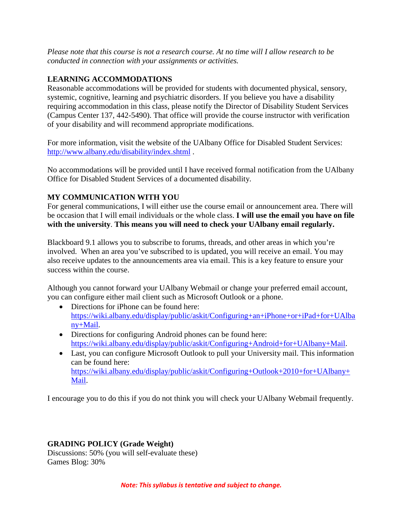*Please note that this course is not a research course. At no time will I allow research to be conducted in connection with your assignments or activities.*

## **LEARNING ACCOMMODATIONS**

Reasonable accommodations will be provided for students with documented physical, sensory, systemic, cognitive, learning and psychiatric disorders. If you believe you have a disability requiring accommodation in this class, please notify the Director of Disability Student Services (Campus Center 137, 442-5490). That office will provide the course instructor with verification of your disability and will recommend appropriate modifications.

For more information, visit the website of the UAlbany Office for Disabled Student Services: <http://www.albany.edu/disability/index.shtml> .

No accommodations will be provided until I have received formal notification from the UAlbany Office for Disabled Student Services of a documented disability.

# **MY COMMUNICATION WITH YOU**

For general communications, I will either use the course email or announcement area. There will be occasion that I will email individuals or the whole class. **I will use the email you have on file with the university**. **This means you will need to check your UAlbany email regularly.**

Blackboard 9.1 allows you to subscribe to forums, threads, and other areas in which you're involved. When an area you've subscribed to is updated, you will receive an email. You may also receive updates to the announcements area via email. This is a key feature to ensure your success within the course.

Although you cannot forward your UAlbany Webmail or change your preferred email account, you can configure either mail client such as Microsoft Outlook or a phone.

- Directions for iPhone can be found here: [https://wiki.albany.edu/display/public/askit/Configuring+an+iPhone+or+iPad+for+UAlba](https://wiki.albany.edu/display/public/askit/Configuring+an+iPhone+or+iPad+for+UAlbany+Mail) [ny+Mail.](https://wiki.albany.edu/display/public/askit/Configuring+an+iPhone+or+iPad+for+UAlbany+Mail)
- Directions for configuring Android phones can be found here: [https://wiki.albany.edu/display/public/askit/Configuring+Android+for+UAlbany+Mail.](https://wiki.albany.edu/display/public/askit/Configuring+Android+for+UAlbany+Mail)
- Last, you can configure Microsoft Outlook to pull your University mail. This information can be found here: [https://wiki.albany.edu/display/public/askit/Configuring+Outlook+2010+for+UAlbany+](https://wiki.albany.edu/display/public/askit/Configuring+Outlook+2010+for+UAlbany+Mail) [Mail.](https://wiki.albany.edu/display/public/askit/Configuring+Outlook+2010+for+UAlbany+Mail)

I encourage you to do this if you do not think you will check your UAlbany Webmail frequently.

# **GRADING POLICY (Grade Weight)**

Discussions: 50% (you will self-evaluate these) Games Blog: 30%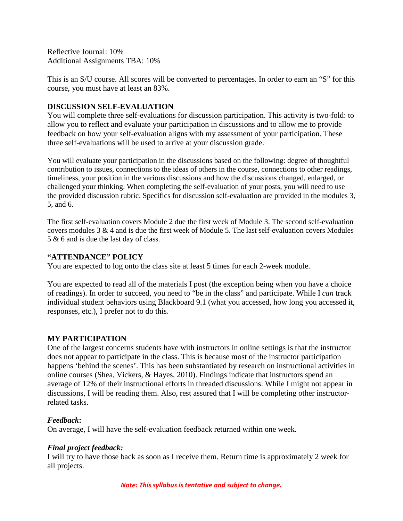Reflective Journal: 10% Additional Assignments TBA: 10%

This is an S/U course. All scores will be converted to percentages. In order to earn an "S" for this course, you must have at least an 83%.

## **DISCUSSION SELF-EVALUATION**

You will complete three self-evaluations for discussion participation. This activity is two-fold: to allow you to reflect and evaluate your participation in discussions and to allow me to provide feedback on how your self-evaluation aligns with my assessment of your participation. These three self-evaluations will be used to arrive at your discussion grade.

You will evaluate your participation in the discussions based on the following: degree of thoughtful contribution to issues, connections to the ideas of others in the course, connections to other readings, timeliness, your position in the various discussions and how the discussions changed, enlarged, or challenged your thinking. When completing the self-evaluation of your posts, you will need to use the provided discussion rubric. Specifics for discussion self-evaluation are provided in the modules 3, 5, and 6.

The first self-evaluation covers Module 2 due the first week of Module 3. The second self-evaluation covers modules  $3 \& 4$  and is due the first week of Module 5. The last self-evaluation covers Modules 5 & 6 and is due the last day of class.

## **"ATTENDANCE" POLICY**

You are expected to log onto the class site at least 5 times for each 2-week module.

You are expected to read all of the materials I post (the exception being when you have a choice of readings). In order to succeed, you need to "be in the class" and participate. While I *can* track individual student behaviors using Blackboard 9.1 (what you accessed, how long you accessed it, responses, etc.), I prefer not to do this.

## **MY PARTICIPATION**

One of the largest concerns students have with instructors in online settings is that the instructor does not appear to participate in the class. This is because most of the instructor participation happens 'behind the scenes'. This has been substantiated by research on instructional activities in online courses (Shea, Vickers, & Hayes, 2010). Findings indicate that instructors spend an average of 12% of their instructional efforts in threaded discussions. While I might not appear in discussions, I will be reading them. Also, rest assured that I will be completing other instructorrelated tasks.

## *Feedback***:**

On average, I will have the self-evaluation feedback returned within one week.

## *Final project feedback:*

I will try to have those back as soon as I receive them. Return time is approximately 2 week for all projects.

*Note: This syllabus is tentative and subject to change.*